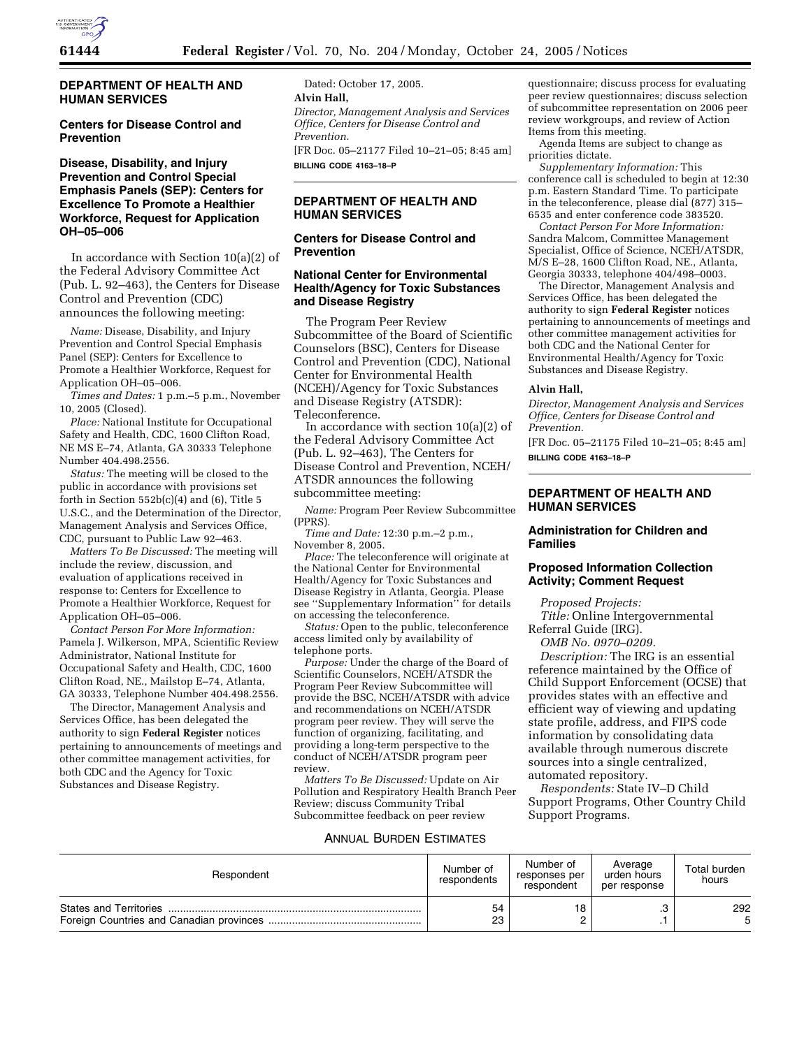

## **DEPARTMENT OF HEALTH AND HUMAN SERVICES**

#### **Centers for Disease Control and Prevention**

## **Disease, Disability, and Injury Prevention and Control Special Emphasis Panels (SEP): Centers for Excellence To Promote a Healthier Workforce, Request for Application OH–05–006**

In accordance with Section 10(a)(2) of the Federal Advisory Committee Act (Pub. L. 92–463), the Centers for Disease Control and Prevention (CDC) announces the following meeting:

*Name:* Disease, Disability, and Injury Prevention and Control Special Emphasis Panel (SEP): Centers for Excellence to Promote a Healthier Workforce, Request for Application OH–05–006.

*Times and Dates:* 1 p.m.–5 p.m., November 10, 2005 (Closed).

*Place:* National Institute for Occupational Safety and Health, CDC, 1600 Clifton Road, NE MS E–74, Atlanta, GA 30333 Telephone Number 404.498.2556.

*Status:* The meeting will be closed to the public in accordance with provisions set forth in Section  $552b(c)(4)$  and  $(6)$ , Title 5 U.S.C., and the Determination of the Director, Management Analysis and Services Office, CDC, pursuant to Public Law 92–463.

*Matters To Be Discussed:* The meeting will include the review, discussion, and evaluation of applications received in response to: Centers for Excellence to Promote a Healthier Workforce, Request for Application OH–05–006.

*Contact Person For More Information:*  Pamela J. Wilkerson, MPA, Scientific Review Administrator, National Institute for Occupational Safety and Health, CDC, 1600 Clifton Road, NE., Mailstop E–74, Atlanta, GA 30333, Telephone Number 404.498.2556.

The Director, Management Analysis and Services Office, has been delegated the authority to sign **Federal Register** notices pertaining to announcements of meetings and other committee management activities, for both CDC and the Agency for Toxic Substances and Disease Registry.

Dated: October 17, 2005. **Alvin Hall,**  *Director, Management Analysis and Services Office, Centers for Disease Control and Prevention.*  [FR Doc. 05–21177 Filed 10–21–05; 8:45 am] **BILLING CODE 4163–18–P** 

#### **DEPARTMENT OF HEALTH AND HUMAN SERVICES**

#### **Centers for Disease Control and Prevention**

### **National Center for Environmental Health/Agency for Toxic Substances and Disease Registry**

The Program Peer Review Subcommittee of the Board of Scientific Counselors (BSC), Centers for Disease Control and Prevention (CDC), National Center for Environmental Health (NCEH)/Agency for Toxic Substances and Disease Registry (ATSDR): Teleconference.

In accordance with section 10(a)(2) of the Federal Advisory Committee Act (Pub. L. 92–463), The Centers for Disease Control and Prevention, NCEH/ ATSDR announces the following subcommittee meeting:

*Name:* Program Peer Review Subcommittee (PPRS).

*Time and Date:* 12:30 p.m.–2 p.m., November 8, 2005.

*Place:* The teleconference will originate at the National Center for Environmental Health/Agency for Toxic Substances and Disease Registry in Atlanta, Georgia. Please see ''Supplementary Information'' for details on accessing the teleconference.

*Status:* Open to the public, teleconference access limited only by availability of telephone ports.

*Purpose:* Under the charge of the Board of Scientific Counselors, NCEH/ATSDR the Program Peer Review Subcommittee will provide the BSC, NCEH/ATSDR with advice and recommendations on NCEH/ATSDR program peer review. They will serve the function of organizing, facilitating, and providing a long-term perspective to the conduct of NCEH/ATSDR program peer review.

*Matters To Be Discussed:* Update on Air Pollution and Respiratory Health Branch Peer Review; discuss Community Tribal Subcommittee feedback on peer review

questionnaire; discuss process for evaluating peer review questionnaires; discuss selection of subcommittee representation on 2006 peer review workgroups, and review of Action Items from this meeting.

Agenda Items are subject to change as priorities dictate.

*Supplementary Information:* This conference call is scheduled to begin at 12:30 p.m. Eastern Standard Time. To participate in the teleconference, please dial (877) 315– 6535 and enter conference code 383520.

*Contact Person For More Information:*  Sandra Malcom, Committee Management Specialist, Office of Science, NCEH/ATSDR, M/S E–28, 1600 Clifton Road, NE., Atlanta, Georgia 30333, telephone 404/498–0003.

The Director, Management Analysis and Services Office, has been delegated the authority to sign **Federal Register** notices pertaining to announcements of meetings and other committee management activities for both CDC and the National Center for Environmental Health/Agency for Toxic Substances and Disease Registry.

#### **Alvin Hall,**

*Director, Management Analysis and Services Office, Centers for Disease Control and Prevention.* 

[FR Doc. 05–21175 Filed 10–21–05; 8:45 am] **BILLING CODE 4163–18–P** 

## **DEPARTMENT OF HEALTH AND HUMAN SERVICES**

## **Administration for Children and Families**

# **Proposed Information Collection Activity; Comment Request**

*Proposed Projects:* 

*Title:* Online Intergovernmental Referral Guide (IRG).

*OMB No. 0970–0209.* 

*Description:* The IRG is an essential reference maintained by the Office of Child Support Enforcement (OCSE) that provides states with an effective and efficient way of viewing and updating state profile, address, and FIPS code information by consolidating data available through numerous discrete sources into a single centralized, automated repository.

*Respondents:* State IV–D Child Support Programs, Other Country Child Support Programs.

### ANNUAL BURDEN ESTIMATES

| Respondent | Number of<br>respondents | Number of<br>responses per<br>respondent | Average<br>urden hours<br>per response | Total burden<br>hours |
|------------|--------------------------|------------------------------------------|----------------------------------------|-----------------------|
|            | 54                       | 18                                       |                                        | 292                   |
|            | 23                       | ◠                                        |                                        | 5                     |